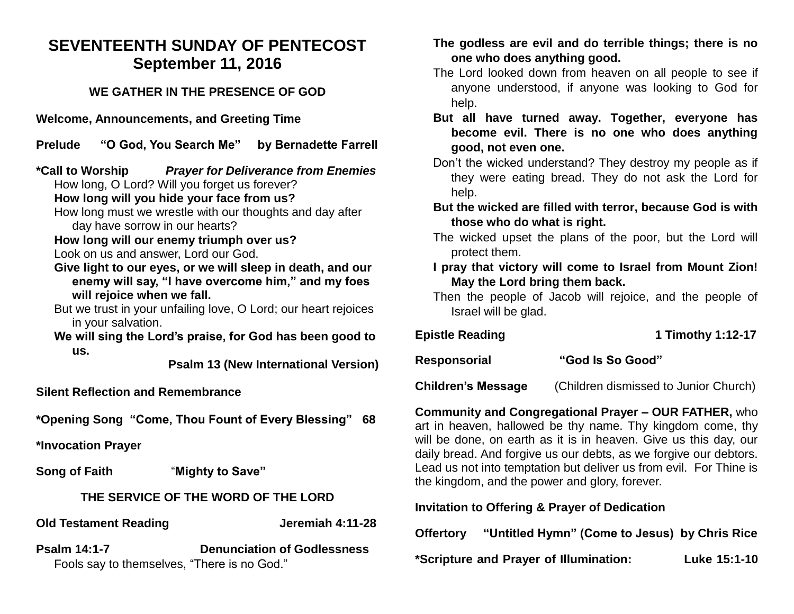# **SEVENTEENTH SUNDAY OF PENTECOST September 11, 2016**

### **WE GATHER IN THE PRESENCE OF GOD**

**Welcome, Announcements, and Greeting Time** 

**Prelude "O God, You Search Me" by Bernadette Farrell**

**\*Call to Worship** *Prayer for Deliverance from Enemies* How long, O Lord? Will you forget us forever?

**How long will you hide your face from us?**

How long must we wrestle with our thoughts and day after day have sorrow in our hearts?

**How long will our enemy triumph over us?** Look on us and answer, Lord our God.

- **Give light to our eyes, or we will sleep in death, and our enemy will say, "I have overcome him," and my foes will rejoice when we fall.**
- But we trust in your unfailing love, O Lord; our heart rejoices in your salvation.

**We will sing the Lord's praise, for God has been good to us.**

**Psalm 13 (New International Version)**

**Silent Reflection and Remembrance** 

**\*Opening Song "Come, Thou Fount of Every Blessing" 68**

**\*Invocation Prayer** 

**Song of Faith** "**Mighty to Save"**

## **THE SERVICE OF THE WORD OF THE LORD**

**Old Testament Reading Constrained Serverse Serverse Serverse Jeremiah 4:11-28** 

**Psalm 14:1-7 Denunciation of Godlessness** Fools say to themselves, "There is no God."

#### **The godless are evil and do terrible things; there is no one who does anything good.**

- The Lord looked down from heaven on all people to see if anyone understood, if anyone was looking to God for help.
- **But all have turned away. Together, everyone has become evil. There is no one who does anything good, not even one.**
- Don't the wicked understand? They destroy my people as if they were eating bread. They do not ask the Lord for help.
- **But the wicked are filled with terror, because God is with those who do what is right.**
- The wicked upset the plans of the poor, but the Lord will protect them.
- **I pray that victory will come to Israel from Mount Zion! May the Lord bring them back.**
- Then the people of Jacob will rejoice, and the people of Israel will be glad.

| <b>Epistle Reading</b> | 1 Timothy 1:12-17 |
|------------------------|-------------------|
| <b>Responsorial</b>    | "God Is So Good"  |

**Children's Message** (Children dismissed to Junior Church)

**Community and Congregational Prayer – OUR FATHER,** who art in heaven, hallowed be thy name. Thy kingdom come, thy will be done, on earth as it is in heaven. Give us this day, our daily bread. And forgive us our debts, as we forgive our debtors. Lead us not into temptation but deliver us from evil. For Thine is the kingdom, and the power and glory, forever.

**Invitation to Offering & Prayer of Dedication** 

**Offertory "Untitled Hymn" (Come to Jesus) by Chris Rice**

**\*Scripture and Prayer of Illumination: Luke 15:1-10**